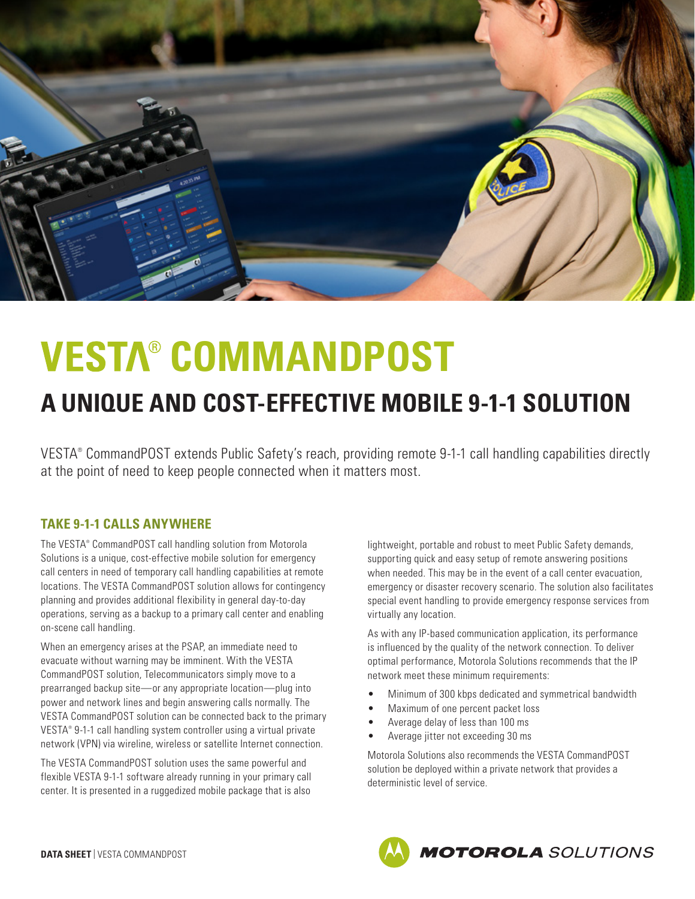

# **VESTA® COMMANDPOST**

# **A UNIQUE AND COST-EFFECTIVE MOBILE 9-1-1 SOLUTION**

VESTA® CommandPOST extends Public Safety's reach, providing remote 9-1-1 call handling capabilities directly at the point of need to keep people connected when it matters most.

## **TAKE 9-1-1 CALLS ANYWHERE**

The VESTA® CommandPOST call handling solution from Motorola Solutions is a unique, cost-effective mobile solution for emergency call centers in need of temporary call handling capabilities at remote locations. The VESTA CommandPOST solution allows for contingency planning and provides additional flexibility in general day-to-day operations, serving as a backup to a primary call center and enabling on-scene call handling.

When an emergency arises at the PSAP, an immediate need to evacuate without warning may be imminent. With the VESTA CommandPOST solution, Telecommunicators simply move to a prearranged backup site—or any appropriate location—plug into power and network lines and begin answering calls normally. The VESTA CommandPOST solution can be connected back to the primary VESTA® 9-1-1 call handling system controller using a virtual private network (VPN) via wireline, wireless or satellite Internet connection.

The VESTA CommandPOST solution uses the same powerful and flexible VESTA 9-1-1 software already running in your primary call center. It is presented in a ruggedized mobile package that is also lightweight, portable and robust to meet Public Safety demands, supporting quick and easy setup of remote answering positions when needed. This may be in the event of a call center evacuation, emergency or disaster recovery scenario. The solution also facilitates special event handling to provide emergency response services from virtually any location.

As with any IP-based communication application, its performance is influenced by the quality of the network connection. To deliver optimal performance, Motorola Solutions recommends that the IP network meet these minimum requirements:

- Minimum of 300 kbps dedicated and symmetrical bandwidth
- Maximum of one percent packet loss
- Average delay of less than 100 ms
- Average jitter not exceeding 30 ms

Motorola Solutions also recommends the VESTA CommandPOST solution be deployed within a private network that provides a deterministic level of service.